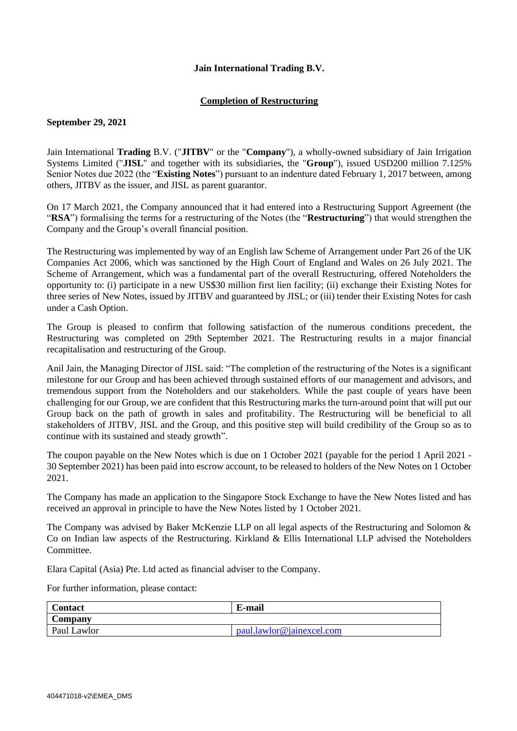## **Jain International Trading B.V.**

## **Completion of Restructuring**

# **September 29, 2021**

Jain International **Trading** B.V. ("**JITBV**" or the "**Company**"), a wholly-owned subsidiary of Jain Irrigation Systems Limited ("**JISL**" and together with its subsidiaries, the "**Group**"), issued USD200 million 7.125% Senior Notes due 2022 (the "**Existing Notes**") pursuant to an indenture dated February 1, 2017 between, among others, JITBV as the issuer, and JISL as parent guarantor.

On 17 March 2021, the Company announced that it had entered into a Restructuring Support Agreement (the "**RSA**") formalising the terms for a restructuring of the Notes (the "**Restructuring**") that would strengthen the Company and the Group's overall financial position.

The Restructuring was implemented by way of an English law Scheme of Arrangement under Part 26 of the UK Companies Act 2006, which was sanctioned by the High Court of England and Wales on 26 July 2021. The Scheme of Arrangement, which was a fundamental part of the overall Restructuring, offered Noteholders the opportunity to: (i) participate in a new US\$30 million first lien facility; (ii) exchange their Existing Notes for three series of New Notes, issued by JITBV and guaranteed by JISL; or (iii) tender their Existing Notes for cash under a Cash Option.

The Group is pleased to confirm that following satisfaction of the numerous conditions precedent, the Restructuring was completed on 29th September 2021. The Restructuring results in a major financial recapitalisation and restructuring of the Group.

Anil Jain, the Managing Director of JISL said: "The completion of the restructuring of the Notes is a significant milestone for our Group and has been achieved through sustained efforts of our management and advisors, and tremendous support from the Noteholders and our stakeholders. While the past couple of years have been challenging for our Group, we are confident that this Restructuring marks the turn-around point that will put our Group back on the path of growth in sales and profitability. The Restructuring will be beneficial to all stakeholders of JITBV, JISL and the Group, and this positive step will build credibility of the Group so as to continue with its sustained and steady growth".

The coupon payable on the New Notes which is due on 1 October 2021 (payable for the period 1 April 2021 - 30 September 2021) has been paid into escrow account, to be released to holders of the New Notes on 1 October 2021.

The Company has made an application to the Singapore Stock Exchange to have the New Notes listed and has received an approval in principle to have the New Notes listed by 1 October 2021.

The Company was advised by Baker McKenzie LLP on all legal aspects of the Restructuring and Solomon & Co on Indian law aspects of the Restructuring. Kirkland & Ellis International LLP advised the Noteholders Committee.

Elara Capital (Asia) Pte. Ltd acted as financial adviser to the Company.

For further information, please contact:

| <b>Contact</b> | E-mail                    |
|----------------|---------------------------|
| Company        |                           |
| Paul Lawlor    | paul.lawlor@jainexcel.com |